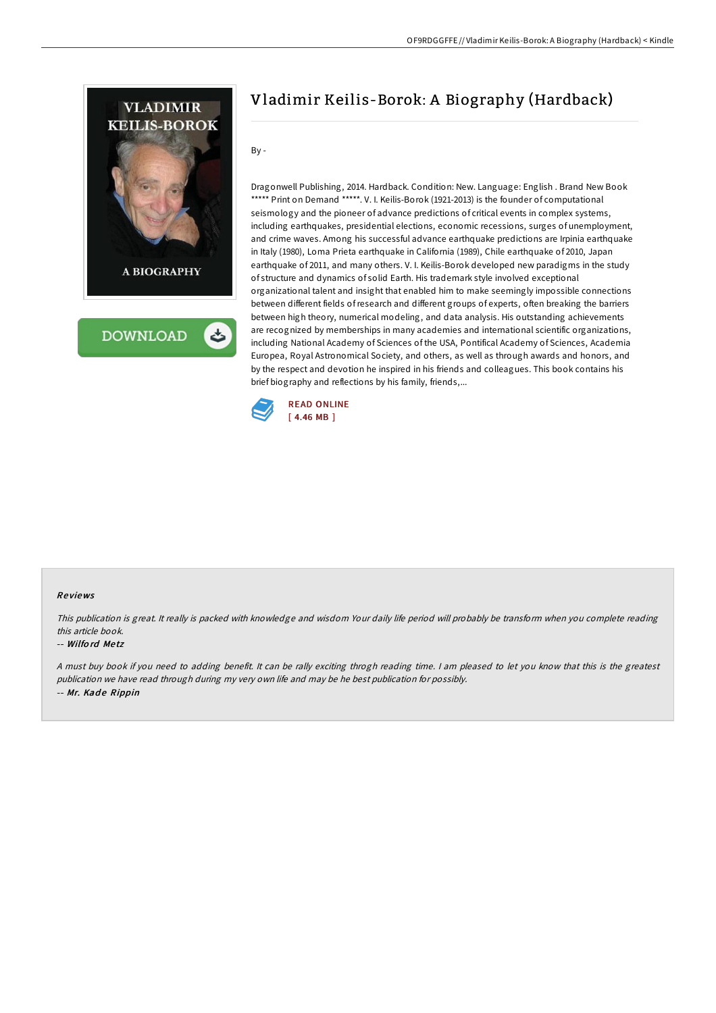

# Vladimir Keilis-Borok: A Biography (Hardback)

By -

Dragonwell Publishing, 2014. Hardback. Condition: New. Language: English . Brand New Book \*\*\*\*\* Print on Demand \*\*\*\*\*. V. I. Keilis-Borok (1921-2013) is the founder of computational seismology and the pioneer of advance predictions of critical events in complex systems, including earthquakes, presidential elections, economic recessions, surges of unemployment, and crime waves. Among his successful advance earthquake predictions are Irpinia earthquake in Italy (1980), Loma Prieta earthquake in California (1989), Chile earthquake of 2010, Japan earthquake of 2011, and many others. V. I. Keilis-Borok developed new paradigms in the study of structure and dynamics of solid Earth. His trademark style involved exceptional organizational talent and insight that enabled him to make seemingly impossible connections between different fields ofresearch and different groups of experts, often breaking the barriers between high theory, numerical modeling, and data analysis. His outstanding achievements are recognized by memberships in many academies and international scientific organizations, including National Academy of Sciences of the USA, Pontifical Academy of Sciences, Academia Europea, Royal Astronomical Society, and others, as well as through awards and honors, and by the respect and devotion he inspired in his friends and colleagues. This book contains his brief biography and reflections by his family, friends,...



## Re views

This publication is great. It really is packed with knowledge and wisdom Your daily life period will probably be transform when you complete reading this article book.

## -- Wilfo rd Me tz

<sup>A</sup> must buy book if you need to adding benefit. It can be rally exciting throgh reading time. <sup>I</sup> am pleased to let you know that this is the greatest publication we have read through during my very own life and may be he best publication for possibly. -- Mr. Kade Rippin